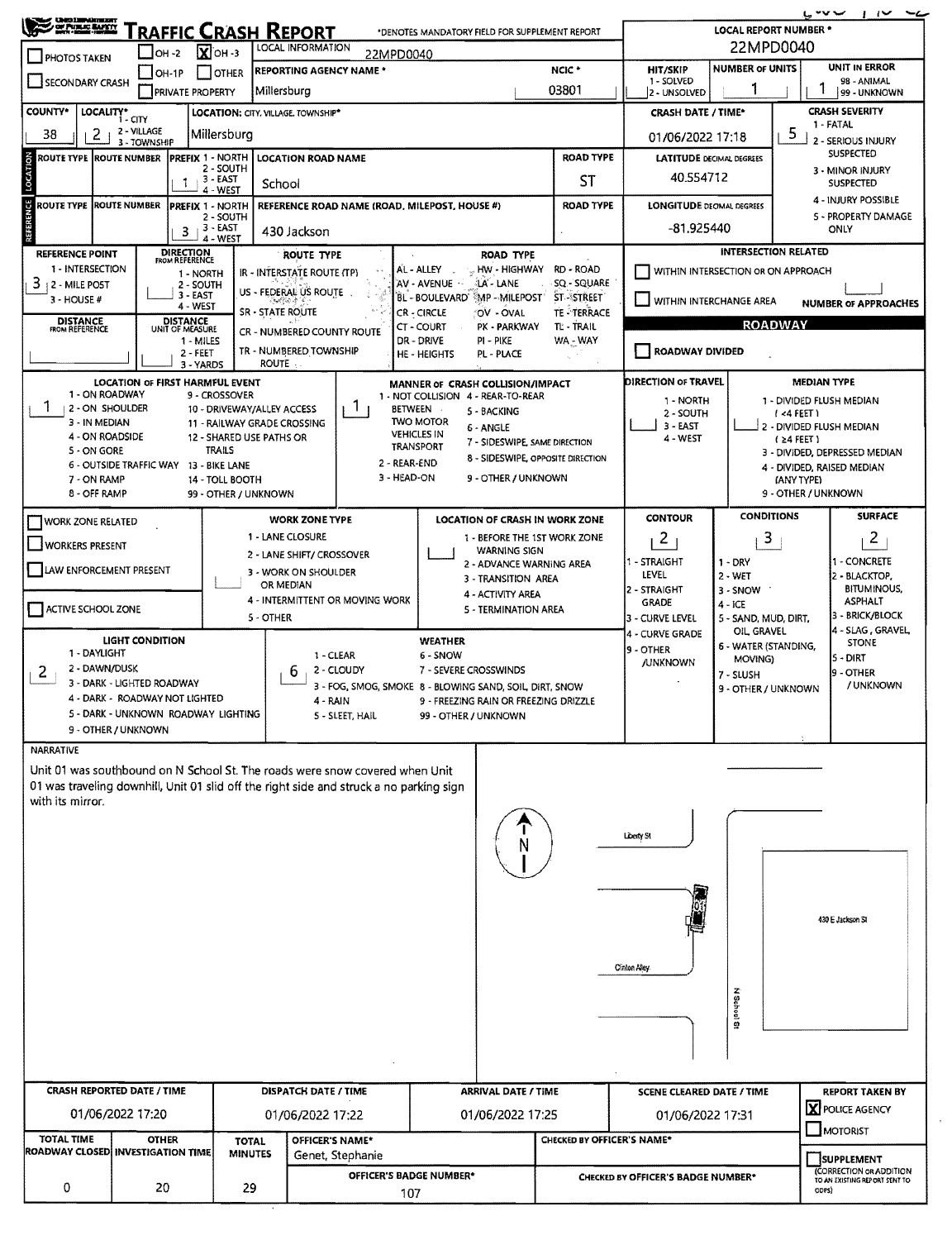| SE PURSE RAPPY<br>Traffic Crash Report<br>*DENOTES MANDATORY FIELD FOR SUPPLEMENT REPORT                                                                                                                                                       |                                                                                                  |                                                                                                                                                                                 |                                                                                   |                                                                                          |                                                                                                                                                                        |                                                                                  | سہ سی<br>$\sim$<br>-4<br><b>LOCAL REPORT NUMBER *</b> |                                                                              |                                                                                          |                                                                   |                                                                                                                                           |  |  |  |
|------------------------------------------------------------------------------------------------------------------------------------------------------------------------------------------------------------------------------------------------|--------------------------------------------------------------------------------------------------|---------------------------------------------------------------------------------------------------------------------------------------------------------------------------------|-----------------------------------------------------------------------------------|------------------------------------------------------------------------------------------|------------------------------------------------------------------------------------------------------------------------------------------------------------------------|----------------------------------------------------------------------------------|-------------------------------------------------------|------------------------------------------------------------------------------|------------------------------------------------------------------------------------------|-------------------------------------------------------------------|-------------------------------------------------------------------------------------------------------------------------------------------|--|--|--|
| <b>PHOTOS TAKEN</b>                                                                                                                                                                                                                            | OH -2                                                                                            | $X$ OH -3                                                                                                                                                                       | LOCAL INFORMATION                                                                 | 22MPD0040                                                                                |                                                                                                                                                                        |                                                                                  | 22MPD0040                                             |                                                                              |                                                                                          |                                                                   |                                                                                                                                           |  |  |  |
| <b>REPORTING AGENCY NAME *</b><br>I I OTHER<br>OH-1P<br>SECONDARY CRASH<br>Millersburg<br><b>PRIVATE PROPERTY</b>                                                                                                                              |                                                                                                  |                                                                                                                                                                                 |                                                                                   |                                                                                          |                                                                                                                                                                        |                                                                                  | NCIC <sup>*</sup><br>03801                            | HIT/SKIP<br>1 - SOLVED<br>2 - UNSOLVED                                       | <b>NUMBER OF UNITS</b>                                                                   | UNIT IN ERROR<br>98 - ANIMAL<br>99 - UNKNOWN                      |                                                                                                                                           |  |  |  |
| <b>COUNTY*</b><br>LOCALITY* CITY<br>LOCATION: CITY. VILLAGE. TOWNSHIP*                                                                                                                                                                         |                                                                                                  |                                                                                                                                                                                 |                                                                                   |                                                                                          |                                                                                                                                                                        |                                                                                  |                                                       | <b>CRASH DATE / TIME*</b>                                                    |                                                                                          |                                                                   | <b>CRASH SEVERITY</b>                                                                                                                     |  |  |  |
| 2 - VILLAGE<br>38<br>2<br>Millersburg<br>3 - TOWNSHIP                                                                                                                                                                                          |                                                                                                  |                                                                                                                                                                                 |                                                                                   |                                                                                          |                                                                                                                                                                        |                                                                                  |                                                       |                                                                              | 1 - FATAL<br>-5<br>01/06/2022 17:18<br>2 - SERIOUS INJURY                                |                                                                   |                                                                                                                                           |  |  |  |
| LOCATION<br><b>PREFIX 1 - NORTH</b><br><b>ROUTE TYPE ROUTE NUMBER</b><br><b>LOCATION ROAD NAME</b><br>2 - SOUTH                                                                                                                                |                                                                                                  |                                                                                                                                                                                 |                                                                                   |                                                                                          |                                                                                                                                                                        | <b>ROAD TYPE</b>                                                                 |                                                       |                                                                              | <b>LATITUDE DECIMAL DEGREES</b><br>40.554712                                             |                                                                   | <b>SUSPECTED</b><br>3 - MINOR INJURY                                                                                                      |  |  |  |
|                                                                                                                                                                                                                                                | 3 - EAST<br>1<br>School<br>4 - WEST<br><b>ROUTE TYPE ROUTE NUMBER</b><br><b>PREFIX 1 - NORTH</b> |                                                                                                                                                                                 |                                                                                   |                                                                                          |                                                                                                                                                                        |                                                                                  | ST                                                    | LONGITUDE DECIMAL DEGREES                                                    |                                                                                          |                                                                   | <b>SUSPECTED</b><br>4 - INJURY POSSIBLE                                                                                                   |  |  |  |
| REFERENCE                                                                                                                                                                                                                                      |                                                                                                  | 2 - SOUTH<br>$3+3-EAST$                                                                                                                                                         | 430 Jackson                                                                       | REFERENCE ROAD NAME (ROAD, MILEPOST, HOUSE #)<br><b>ROAD TYPE</b>                        |                                                                                                                                                                        |                                                                                  |                                                       |                                                                              | 5 - PROPERTY DAMAGE<br>-81.925440<br>ONLY                                                |                                                                   |                                                                                                                                           |  |  |  |
| <b>REFERENCE POINT</b><br>1 - INTERSECTION                                                                                                                                                                                                     | <b>DIRECTION</b><br>FROM REFERENCE                                                               | 4 - WEST                                                                                                                                                                        | <b>ROUTE TYPE</b>                                                                 |                                                                                          | AL - ALLEY                                                                                                                                                             | ROAD TYPE<br>HW - HIGHWAY                                                        | RD - ROAD                                             |                                                                              | <b>INTERSECTION RELATED</b><br>WITHIN INTERSECTION OR ON APPROACH                        |                                                                   |                                                                                                                                           |  |  |  |
| IR - INTERSTATE ROUTE (TP)<br>1 - NORTH<br>AV - AVENUE -<br>LA-LANE<br>SQ - SQUARE<br>$3 + 2 -$ MILE POST<br>2 - SOUTH<br>US - FEDERAL US ROUTE<br>3 - EAST<br>BL - BOULEVARD' MP - MILEPOST'<br><b>ST-STREET</b><br>$3 - HOUSE #$<br>4 - WEST |                                                                                                  |                                                                                                                                                                                 |                                                                                   |                                                                                          |                                                                                                                                                                        |                                                                                  |                                                       |                                                                              | WITHIN INTERCHANGE AREA                                                                  |                                                                   |                                                                                                                                           |  |  |  |
| <b>DISTANCE</b><br>FROM REFERENCE                                                                                                                                                                                                              | <b>DISTANCE</b><br>UNIT OF MEASURE                                                               |                                                                                                                                                                                 | <b>SR - STATE ROUTE</b><br>CR - NUMBERED COUNTY ROUTE                             |                                                                                          | CR - CIRCLE<br>CT - COURT                                                                                                                                              | OV - OVAL<br>PK - PARKWAY                                                        | <b>TE-TERRACE</b><br>TL - TRAIL                       | <b>NUMBER OF APPROACHES</b><br><b>ROADWAY</b>                                |                                                                                          |                                                                   |                                                                                                                                           |  |  |  |
|                                                                                                                                                                                                                                                |                                                                                                  | 1 - MILES<br>$2 - FEET$                                                                                                                                                         | TR - NUMBERED TOWNSHIP<br>ROUTE                                                   |                                                                                          | DR - DRIVE<br>HE - HEIGHTS                                                                                                                                             | PI - PIKE<br><b>PL - PLACE</b>                                                   | WA - WAY                                              | <b>ROADWAY DIVIDED</b>                                                       |                                                                                          |                                                                   |                                                                                                                                           |  |  |  |
| 1 - ON ROADWAY<br>Ŧ<br>  2 - ON SHOULDER<br>3 - IN MEDIAN<br>4 - ON ROADSIDE<br>5 - ON GORE<br>7 - ON RAMP<br>8 - OFF RAMP                                                                                                                     | LOCATION OF FIRST HARMFUL EVENT<br>6 - OUTSIDE TRAFFIC WAY 13 - BIKE LANE                        | 3 - YARDS<br>9 - CROSSOVER<br>10 - DRIVEWAY/ALLEY ACCESS<br>11 - RAILWAY GRADE CROSSING<br>12 - SHARED USE PATHS OR<br><b>TRAILS</b><br>14 - TOLL BOOTH<br>99 - OTHER / UNKNOWN |                                                                                   | 1.<br>3 - HEAD-ON                                                                        | MANNER OF CRASH COLLISION/IMPACT<br>1 - NOT COLLISION 4 - REAR-TO-REAR<br><b>BETWEEN</b><br><b>TWO MOTOR</b><br><b>VEHICLES IN</b><br><b>TRANSPORT</b><br>2 - REAR-END | 5 - BACKING<br>6 - ANGLE<br>7 - SIDESWIPE, SAME DIRECTION<br>9 - OTHER / UNKNOWN | 8 - SIDESWIPE, OPPOSITE DIRECTION                     | <b>DIRECTION OF TRAVEL</b><br>1 - NORTH<br>2 - SOUTH<br>3 - EAST<br>4 - WEST |                                                                                          | $1 < 4$ FEET)<br>$(24$ FEET)<br>(ANY TYPE)<br>9 - OTHER / UNKNOWN | <b>MEDIAN TYPE</b><br>1 - DIVIDED FLUSH MEDIAN<br>2 - DIVIDED FLUSH MEDIAN<br>3 - DIVIDED, DEPRESSED MEDIAN<br>4 - DIVIDED, RAISED MEDIAN |  |  |  |
| <b>WORK ZONE RELATED</b>                                                                                                                                                                                                                       |                                                                                                  |                                                                                                                                                                                 | <b>WORK ZONE TYPE</b>                                                             |                                                                                          |                                                                                                                                                                        |                                                                                  | LOCATION OF CRASH IN WORK ZONE                        | <b>CONTOUR</b>                                                               | <b>CONDITIONS</b>                                                                        |                                                                   | <b>SURFACE</b>                                                                                                                            |  |  |  |
| <b>I WORKERS PRESENT</b>                                                                                                                                                                                                                       |                                                                                                  |                                                                                                                                                                                 | 1 - LANE CLOSURE<br>2 - LANE SHIFT/ CROSSOVER                                     |                                                                                          |                                                                                                                                                                        | WARNING SIGN<br>2 - ADVANCE WARNING AREA                                         | 1 - BEFORE THE 1ST WORK ZONE                          | 2 <sup>7</sup><br>1 - STRAIGHT                                               | 3<br>$1 - DRY$                                                                           |                                                                   | $\overline{2}$<br>1 - CONCRETE                                                                                                            |  |  |  |
| LAW ENFORCEMENT PRESENT<br>ACTIVE SCHOOL ZONE                                                                                                                                                                                                  |                                                                                                  |                                                                                                                                                                                 | 3 - WORK ON SHOULDER<br>OR MEDIAN<br>4 - INTERMITTENT OR MOVING WORK<br>5 - OTHER |                                                                                          |                                                                                                                                                                        | 3 - TRANSITION AREA<br>4 - ACTIVITY AREA<br>5 - TERMINATION AREA                 |                                                       | <b>LEVEL</b><br>2 - STRAIGHT<br><b>GRADE</b><br>3 - CURVE LEVEL              | $2 - WET$<br>$3 -$ SNOW<br>$4 - ICE$<br>5 - SAND, MUD, DIRT,                             |                                                                   | 2 - BLACKTOP,<br><b>BITUMINOUS,</b><br><b>ASPHALT</b><br>3 - BRICK/BLOCK                                                                  |  |  |  |
| <b>LIGHT CONDITION</b><br>1 - DAYLIGHT<br>1 - CLEAR<br>2 - DAWN/DUSK<br>2<br>6<br>3 - DARK - LIGHTED ROADWAY<br>4 - DARK - ROADWAY NOT LIGHTED<br>4 - RAIN<br>5 - DARK - UNKNOWN ROADWAY LIGHTING<br>9 - OTHER / UNKNOWN                       |                                                                                                  |                                                                                                                                                                                 |                                                                                   | 2 - CLOUDY<br>3 - FOG, SMOG, SMOKE 8 - BLOWING SAND, SOIL, DIRT, SNOW<br>5 - SLEET, HAIL | <b>WEATHER</b><br>6 - SNOW<br>7 - SEVERE CROSSWINDS<br>9 - FREEZING RAIN OR FREEZING DRIZZLE<br>99 - OTHER / UNKNOWN                                                   |                                                                                  |                                                       | 4 - CURVE GRADE<br>9 - OTHER<br><b>/UNKNOWN</b>                              | OIL GRAVEL<br>6 - WATER (STANDING,<br><b>MOVING)</b><br>7 - SLUSH<br>9 - OTHER / UNKNOWN |                                                                   | 4 - SLAG, GRAVEL<br><b>STONE</b><br><b>S-DIRT</b><br>9 - OTHER<br>/ UNKNOWN                                                               |  |  |  |
| <b>NARRATIVE</b>                                                                                                                                                                                                                               |                                                                                                  |                                                                                                                                                                                 |                                                                                   |                                                                                          |                                                                                                                                                                        |                                                                                  |                                                       |                                                                              |                                                                                          |                                                                   |                                                                                                                                           |  |  |  |
| Unit 01 was southbound on N School St. The roads were snow covered when Unit<br>01 was traveling downhill, Unit 01 slid off the right side and struck a no parking sign<br>with its mirror.                                                    |                                                                                                  |                                                                                                                                                                                 |                                                                                   |                                                                                          |                                                                                                                                                                        |                                                                                  |                                                       | Liberty St<br>Clinton Alley                                                  |                                                                                          |                                                                   | 430 E Jackson St                                                                                                                          |  |  |  |
|                                                                                                                                                                                                                                                | <b>CRASH REPORTED DATE / TIME</b><br>01/06/2022 17:20                                            |                                                                                                                                                                                 | <b>DISPATCH DATE / TIME</b><br>01/06/2022 17:22                                   |                                                                                          |                                                                                                                                                                        | <b>ARRIVAL DATE / TIME</b><br>01/06/2022 17:25                                   |                                                       | <b>SCENE CLEARED DATE / TIME</b><br>01/06/2022 17:31                         | N School St                                                                              |                                                                   | <b>REPORT TAKEN BY</b><br><b>X</b> POLICE AGENCY<br>$\Box$ MOTORIST                                                                       |  |  |  |
| <b>TOTAL TIME</b><br><b>ROADWAY CLOSED INVESTIGATION TIME</b>                                                                                                                                                                                  | <b>OTHER</b>                                                                                     | <b>TOTAL</b><br><b>MINUTES</b>                                                                                                                                                  | <b>OFFICER'S NAME*</b>                                                            | Genet, Stephanie                                                                         |                                                                                                                                                                        |                                                                                  | CHECKED BY OFFICER'S NAME*                            |                                                                              |                                                                                          |                                                                   |                                                                                                                                           |  |  |  |
| 0                                                                                                                                                                                                                                              | 20                                                                                               | 29                                                                                                                                                                              |                                                                                   |                                                                                          | OFFICER'S BADGE NUMBER*                                                                                                                                                |                                                                                  |                                                       | CHECKED BY OFFICER'S BADGE NUMBER*                                           |                                                                                          |                                                                   | <b>SUPPLEMENT</b><br>(CORRECTION OR ADDITION<br>TO AN EXISTING REPORT SENT TO                                                             |  |  |  |
|                                                                                                                                                                                                                                                | 107                                                                                              |                                                                                                                                                                                 |                                                                                   |                                                                                          |                                                                                                                                                                        |                                                                                  | ODPS)                                                 |                                                                              |                                                                                          |                                                                   |                                                                                                                                           |  |  |  |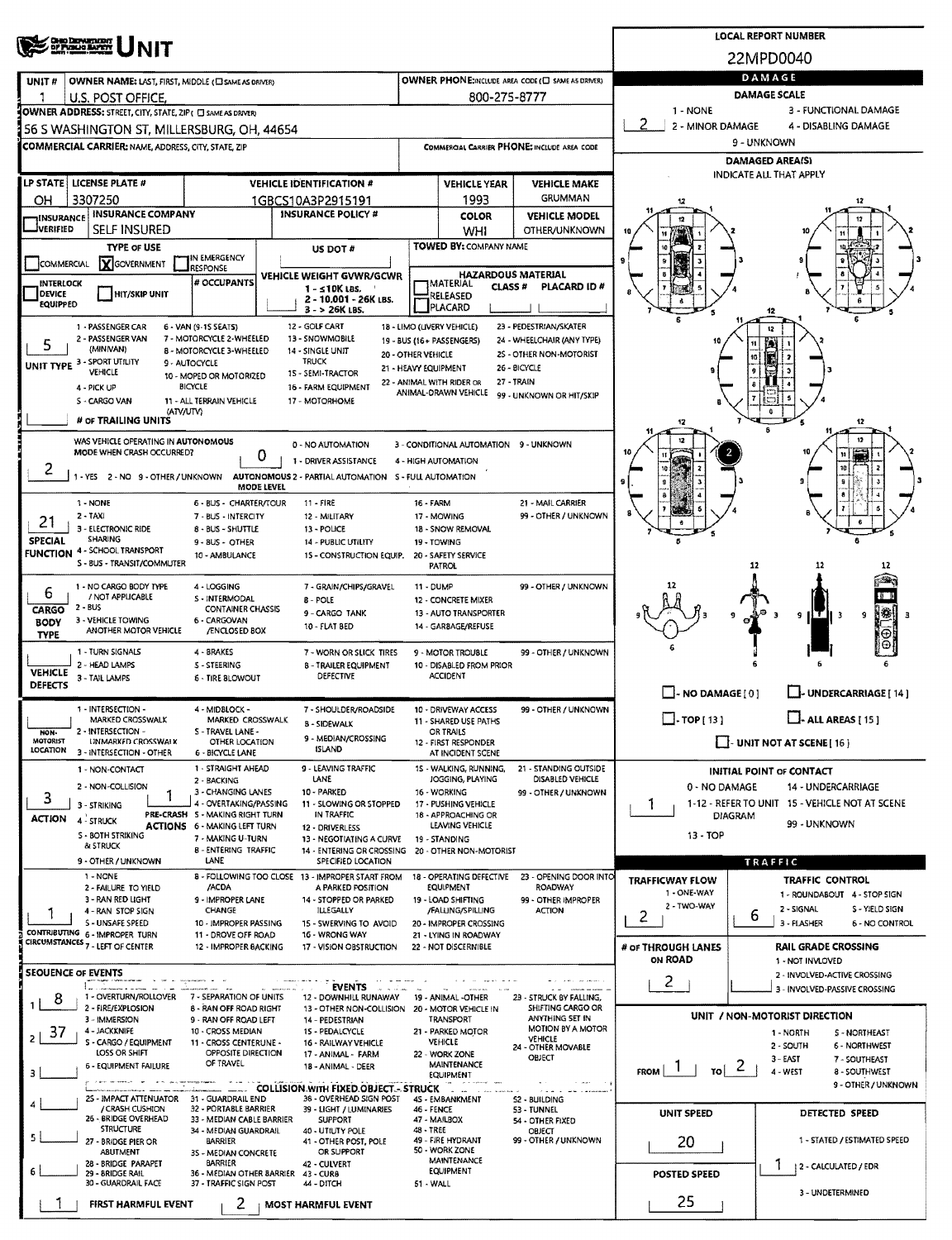| <b>CHIO DEPARTMENT</b>                                                                                                                                                                                                                                                              |                                                                                                                                                                   |                                                                         |                                          |                                                                                       |                                                      |                                                          | <b>LOCAL REPORT NUMBER</b>                                         |  |  |  |  |  |  |
|-------------------------------------------------------------------------------------------------------------------------------------------------------------------------------------------------------------------------------------------------------------------------------------|-------------------------------------------------------------------------------------------------------------------------------------------------------------------|-------------------------------------------------------------------------|------------------------------------------|---------------------------------------------------------------------------------------|------------------------------------------------------|----------------------------------------------------------|--------------------------------------------------------------------|--|--|--|--|--|--|
|                                                                                                                                                                                                                                                                                     |                                                                                                                                                                   |                                                                         |                                          |                                                                                       |                                                      |                                                          | 22MPD0040                                                          |  |  |  |  |  |  |
| OWNER NAME: LAST, FIRST, MIDDLE (C) SAME AS DRIVER)<br>UNIT <sub>#</sub>                                                                                                                                                                                                            |                                                                                                                                                                   |                                                                         |                                          |                                                                                       | OWNER PHONE:INCLUDE AREA CODE (C) SAME AS DRIVER)    | DAMAGE                                                   |                                                                    |  |  |  |  |  |  |
| U.S. POST OFFICE.<br>OWNER ADDRESS: STREET, CITY, STATE, ZIP ( C) SAME AS DRIVER)                                                                                                                                                                                                   |                                                                                                                                                                   |                                                                         |                                          | 800-275-8777                                                                          |                                                      | <b>DAMAGE SCALE</b><br>1 - NONE<br>3 - FUNCTIONAL DAMAGE |                                                                    |  |  |  |  |  |  |
| 56 S WASHINGTON ST, MILLERSBURG, OH, 44654                                                                                                                                                                                                                                          |                                                                                                                                                                   |                                                                         | 2 - MINOR DAMAGE<br>4 - DISABLING DAMAGE |                                                                                       |                                                      |                                                          |                                                                    |  |  |  |  |  |  |
| <b>COMMERCIAL CARRIER:</b> NAME, ADDRESS, CITY, STATE, ZIP                                                                                                                                                                                                                          |                                                                                                                                                                   |                                                                         |                                          | COMMERCIAL CARRIER PHONE: INCLUDE AREA CODE                                           | 9 - UNKNOWN                                          |                                                          |                                                                    |  |  |  |  |  |  |
|                                                                                                                                                                                                                                                                                     |                                                                                                                                                                   |                                                                         |                                          |                                                                                       |                                                      | <b>DAMAGED AREA(S)</b><br>INDICATE ALL THAT APPLY        |                                                                    |  |  |  |  |  |  |
| LP STATE LICENSE PLATE #<br><b>VEHICLE IDENTIFICATION #</b>                                                                                                                                                                                                                         |                                                                                                                                                                   |                                                                         |                                          | <b>VEHICLE YEAR</b>                                                                   | <b>VEHICLE MAKE</b>                                  |                                                          |                                                                    |  |  |  |  |  |  |
| 3307250<br>он<br><b>INSURANCE INSURANCE COMPANY</b>                                                                                                                                                                                                                                 |                                                                                                                                                                   | 1GBCS10A3P2915191<br><b>INSURANCE POLICY #</b>                          |                                          | 1993<br><b>COLOR</b>                                                                  | <b>GRUMMAN</b><br><b>VEHICLE MODEL</b>               | 12                                                       |                                                                    |  |  |  |  |  |  |
| <b>VERIFIED</b><br>SELF INSURED                                                                                                                                                                                                                                                     |                                                                                                                                                                   |                                                                         |                                          | WHI                                                                                   | OTHER/UNKNOWN                                        |                                                          |                                                                    |  |  |  |  |  |  |
| <b>TYPE OF USE</b>                                                                                                                                                                                                                                                                  | IN EMERGENCY                                                                                                                                                      | US DOT #                                                                |                                          | TOWED BY: COMPANY NAME                                                                |                                                      |                                                          |                                                                    |  |  |  |  |  |  |
|                                                                                                                                                                                                                                                                                     | X GOVERNMENT<br><b>COMMERCIAL</b><br><b>RESPONSE</b><br>VEHICLE WEIGHT GVWR/GCWR                                                                                  |                                                                         |                                          |                                                                                       | <b>HAZARDOUS MATERIAL</b>                            |                                                          |                                                                    |  |  |  |  |  |  |
| INTERLOCK<br><b>DEVICE</b><br>HIT/SKIP UNIT                                                                                                                                                                                                                                         | # OCCUPANTS                                                                                                                                                       | 1 - ≤10K LBS.<br>2 - 10.001 - 26K LBS.                                  |                                          | IMATERIAL<br><b>CLASS#</b><br>RELEASED                                                | PLACARD ID#                                          |                                                          |                                                                    |  |  |  |  |  |  |
| <b>EQUIPPED</b>                                                                                                                                                                                                                                                                     |                                                                                                                                                                   | 3 - > 26K LBS.                                                          |                                          | <b>PLACARD</b>                                                                        |                                                      |                                                          |                                                                    |  |  |  |  |  |  |
| 1 - PASSENGER CAR<br>2 - PASSENGER VAN                                                                                                                                                                                                                                              | 6 - VAN (9-15 SEATS)<br>7 - MOTORCYCLE 2-WHEELED                                                                                                                  | 12 - GOLF CART<br>13 - SNOWMOBILE                                       |                                          | 18 - LIMO (LIVERY VEHICLE)<br>19 - BUS (16+ PASSENGERS)                               | 23 - PEDESTRIAN/SKATER<br>24 - WHEELCHAIR (ANY TYPE) |                                                          |                                                                    |  |  |  |  |  |  |
| (MINIVAN)<br>UNIT TYPE 3 - SPORT UTILITY                                                                                                                                                                                                                                            | 8 - MOTORCYCLE 3-WHEELED<br>9 - AUTOCYCLE                                                                                                                         | 14 - SINGLE UNIT<br><b>TRUCK</b>                                        | 20 - OTHER VEHICLE                       |                                                                                       | 2S - OTHER NON-MOTORIST                              |                                                          |                                                                    |  |  |  |  |  |  |
| VEHICLE                                                                                                                                                                                                                                                                             | 10 - MOPED OR MOTORIZED                                                                                                                                           | 15 - SEMI-TRACTOR                                                       | 21 - HEAVY EQUIPMENT                     | 22 - ANIMAL WITH RIDER OR                                                             | 26 - BICYCLE<br>27 - TRAIN                           |                                                          |                                                                    |  |  |  |  |  |  |
| 4 - PICK UP<br>S - CARGO VAN                                                                                                                                                                                                                                                        | BICYCLE<br>11 - ALL TERRAIN VEHICLE                                                                                                                               | 16 - FARM EQUIPMENT<br>17 - MOTORHOME                                   |                                          | ANIMAL-DRAWN VEHICLE                                                                  | 99 - UNKNOWN OR HIT/SKIP                             |                                                          |                                                                    |  |  |  |  |  |  |
| # OF TRAILING UNITS                                                                                                                                                                                                                                                                 | (ATV/UTV)                                                                                                                                                         |                                                                         |                                          |                                                                                       |                                                      | 12                                                       | 12                                                                 |  |  |  |  |  |  |
| WAS VEHICLE OPERATING IN AUTONOMOUS                                                                                                                                                                                                                                                 |                                                                                                                                                                   | 0 - NO AUTOMATION                                                       |                                          | 3 - CONDITIONAL AUTOMATION 9 - UNKNOWN                                                |                                                      |                                                          |                                                                    |  |  |  |  |  |  |
| MODE WHEN CRASH OCCURRED?                                                                                                                                                                                                                                                           |                                                                                                                                                                   | 0<br>1 - DRIVER ASSISTANCE                                              |                                          | 4 - HIGH AUTOMATION                                                                   |                                                      |                                                          |                                                                    |  |  |  |  |  |  |
| 2<br>-YES 2-NO 9-OTHER/UNKNOWN                                                                                                                                                                                                                                                      |                                                                                                                                                                   | AUTONOMOUS 2 - PARTIAL AUTOMATION S - FULL AUTOMATION<br>MODE LEVEL     |                                          |                                                                                       |                                                      |                                                          |                                                                    |  |  |  |  |  |  |
| 1 - NONE                                                                                                                                                                                                                                                                            | 6 - BUS - CHARTER/TOUR                                                                                                                                            | 11 - FIRE                                                               | 16 - FARM                                |                                                                                       | 21 - MAIL CARRIER                                    |                                                          |                                                                    |  |  |  |  |  |  |
| $2 - TAX$<br>21<br>3 - ELECTRONIC RIDE                                                                                                                                                                                                                                              | 7 - BUS - INTERCITY<br>8 - BUS - SHUTTLE                                                                                                                          | 12 - MILITARY                                                           |                                          | 17 - MOWING<br>18 - SNOW REMOVAL                                                      | 99 - OTHER / UNKNOWN                                 |                                                          |                                                                    |  |  |  |  |  |  |
| <b>SHARING</b><br><b>SPECIAL</b>                                                                                                                                                                                                                                                    | 9 - 8US - OTHER                                                                                                                                                   | 13 - POLICE<br>14 - PUBLIC UTILITY                                      |                                          | 19 - TOWING                                                                           |                                                      |                                                          |                                                                    |  |  |  |  |  |  |
| 4 - SCHOOL TRANSPORT<br><b>FUNCTION</b><br>S - BUS - TRANSIT/COMMUTER                                                                                                                                                                                                               | 10 - AMBULANCE                                                                                                                                                    | 15 - CONSTRUCTION EQUIP.                                                |                                          | 20 - SAFETY SERVICE<br><b>PATROL</b>                                                  |                                                      |                                                          | 12                                                                 |  |  |  |  |  |  |
| 1 - NO CARGO BODY TYPE                                                                                                                                                                                                                                                              | 4 - LOGGING                                                                                                                                                       | 7 - GRAIN/CHIPS/GRAVEL                                                  | <b>11 - DUMP</b>                         |                                                                                       | 99 - OTHER / UNKNOWN                                 |                                                          |                                                                    |  |  |  |  |  |  |
| 6<br>/ NOT APPLICABLE<br>2 - BUS<br>CARGO                                                                                                                                                                                                                                           | S - INTERMODAL<br><b>CONTAINER CHASSIS</b>                                                                                                                        | <b>B</b> - POLE<br>9 - CARGO TANK                                       |                                          | 12 - CONCRETE MIXER<br>13 - AUTO TRANSPORTER                                          |                                                      |                                                          |                                                                    |  |  |  |  |  |  |
| 3 - VEHICLE TOWING<br><b>BODY</b><br>ANOTHER MOTOR VEHICLE                                                                                                                                                                                                                          | 6 - CARGOVAN<br>/ENCLOSED BOX                                                                                                                                     |                                                                         |                                          | N₩<br>9<br>9<br>-3                                                                    |                                                      |                                                          |                                                                    |  |  |  |  |  |  |
| <b>TYPE</b><br>1 - TURN SIGNALS                                                                                                                                                                                                                                                     | 4 - BRAKES                                                                                                                                                        | 7 - WORN OR SLICK TIRES                                                 |                                          | 9 - MOTOR TROUBLE                                                                     | 99 - OTHER / UNKNOWN                                 |                                                          |                                                                    |  |  |  |  |  |  |
| 2 - HEAD LAMPS<br><b>VEHICLE</b>                                                                                                                                                                                                                                                    |                                                                                                                                                                   |                                                                         |                                          |                                                                                       |                                                      |                                                          |                                                                    |  |  |  |  |  |  |
| 3 - TAIL LAMPS<br><b>DEFECTS</b>                                                                                                                                                                                                                                                    | <b>5 - TIRE BLOWOUT</b>                                                                                                                                           | <b>DEFECTIVE</b>                                                        |                                          | <b>ACCIDENT</b>                                                                       |                                                      | $\Box$ - NO DAMAGE [ 0 ]                                 | LL-UNDERCARRIAGE [14]                                              |  |  |  |  |  |  |
| 1 - INTERSECTION -<br>4 - MIDBLOCK -<br>7 - SHOULDER/ROADSIDE<br>10 - DRIVEWAY ACCESS<br>99 - OTHER / UNKNOWN<br>$\square$ - TOP [ 13 ]                                                                                                                                             |                                                                                                                                                                   |                                                                         |                                          |                                                                                       |                                                      |                                                          |                                                                    |  |  |  |  |  |  |
| 2 - INTERSECTION -<br>NON-                                                                                                                                                                                                                                                          | MARKED CROSSWALK<br>MARKED CROSSWALK<br>11 - SHARED USE PATHS<br><b>B-SIDEWALK</b><br>S - TRAVEL LANE -<br>OR TRAILS<br>9 - MEDIAN/CROSSING                       |                                                                         |                                          |                                                                                       |                                                      |                                                          | $\Box$ - ALL AREAS [ 15 ]                                          |  |  |  |  |  |  |
| <b>MOTORIST</b><br>UNMARKED CROSSWALK<br><b>LOCATION</b><br>3 - INTERSECTION - OTHER                                                                                                                                                                                                | OTHER LOCATION<br><b>6 - BICYCLE LANE</b>                                                                                                                         | <b>ISLAND</b>                                                           |                                          | $\Box$ UNIT NOT AT SCENE [16]<br>12 - FIRST RESPONDER<br>AT INCIDENT SCENE            |                                                      |                                                          |                                                                    |  |  |  |  |  |  |
| 1 - NON-CONTACT                                                                                                                                                                                                                                                                     | 1 - STRAIGHT AHEAD<br>2 - BACKING                                                                                                                                 | 9 - LEAVING TRAFFIC<br>LANE                                             |                                          | 15 - WALKING, RUNNING,<br>JOGGING, PLAYING                                            | 21 - STANDING OUTSIDE<br><b>DISABLED VEHICLE</b>     |                                                          | <b>INITIAL POINT OF CONTACT</b>                                    |  |  |  |  |  |  |
| 2 - NON-COLLISION<br>3                                                                                                                                                                                                                                                              | 3 - CHANGING LANES                                                                                                                                                | 10 - PARKED                                                             | 99 - OTHER / UNKNOWN                     | 0 - NO DAMAGE<br>14 - UNDERCARRIAGE<br>1-12 - REFER TO UNIT 15 - VEHICLE NOT AT SCENE |                                                      |                                                          |                                                                    |  |  |  |  |  |  |
| 3 - STRIKING<br><b>ACTION 4-STRUCK</b>                                                                                                                                                                                                                                              | 4 - OVERTAKING/PASSING<br>PRE-CRASH 5 - MAKING RIGHT TURN                                                                                                         | 11 - SLOWING OR STOPPED<br>IN TRAFFIC                                   |                                          | 1<br>DIAGRAM                                                                          |                                                      |                                                          |                                                                    |  |  |  |  |  |  |
| <b>S - BOTH STRIKING</b>                                                                                                                                                                                                                                                            | <b>ACTIONS 6 - MAKING LEFT TURN</b><br>7 - MAKING U-TURN                                                                                                          | 12 - DRIVERLESS<br>13 - NEGOTIATING A CURVE                             |                                          | 99 - UNKNOWN<br>$13 - TOP$                                                            |                                                      |                                                          |                                                                    |  |  |  |  |  |  |
| & STRUCK<br>9 - OTHER / UNKNOWN                                                                                                                                                                                                                                                     | <b>B-ENTERING TRAFFIC</b><br>LANE                                                                                                                                 | 14 - ENTERING OR CROSSING<br>SPECIFIED LOCATION                         |                                          | 19 - STANDING<br>20 - OTHER NON-MOTORIST                                              |                                                      | TRAFFIC                                                  |                                                                    |  |  |  |  |  |  |
| 1 - NONE                                                                                                                                                                                                                                                                            |                                                                                                                                                                   | 8 - FOLLOWING TOO CLOSE 13 - IMPROPER START FROM                        |                                          | 18 - OPERATING DEFECTIVE                                                              | 23 - OPENING DOOR INTO                               | <b>TRAFFICWAY FLOW</b>                                   | TRAFFIC CONTROL                                                    |  |  |  |  |  |  |
| 2 - FAILURE TO YIELD<br>3 - RAN RED LIGHT                                                                                                                                                                                                                                           | /ACDA<br>9 - IMPROPER LANE                                                                                                                                        | A PARKED POSITION<br>14 - STOPPED OR PARKED                             |                                          | <b>EQUIPMENT</b><br>19 - LOAD SHIFTING                                                | <b>ROADWAY</b><br>99 - OTHER IMPROPER                | 1 - ONE-WAY<br>2 - TWO-WAY                               | 1 - ROUNDABOUT 4 - STOP SIGN                                       |  |  |  |  |  |  |
| 4 - RAN STOP SIGN<br>S - UNSAFE SPEED                                                                                                                                                                                                                                               | <b>CHANGE</b><br>10 - IMPROPER PASSING                                                                                                                            | <b>ILLEGALLY</b><br>15 - SWERVING TO AVOID                              |                                          | /FALUNG/SPILLING<br>20 - IMPROPER CROSSING                                            | <b>ACTION</b>                                        | 2                                                        | 2 - SIGNAL<br>S - YIELD SIGN<br>6<br>3 - FLASHER<br>6 - NO CONTROL |  |  |  |  |  |  |
| CONTRIBUTING 6 - IMPROPER TURN<br>CIRCUMSTANCES 7 - LEFT OF CENTER                                                                                                                                                                                                                  | 11 - DROVE OFF ROAD                                                                                                                                               | 16 - WRONG WAY                                                          |                                          | 21 - LYING IN ROADWAY                                                                 |                                                      |                                                          |                                                                    |  |  |  |  |  |  |
|                                                                                                                                                                                                                                                                                     | 12 - IMPROPER BACKING                                                                                                                                             | 17 - VISION OBSTRUCTION                                                 |                                          | 22 - NOT DISCERNIBLE                                                                  |                                                      | # or THROUGH LANES<br>ON ROAD                            | <b>RAIL GRADE CROSSING</b><br>1 - NOT INVLOVED                     |  |  |  |  |  |  |
| <b>SEOUENCE OF EVENTS</b>                                                                                                                                                                                                                                                           |                                                                                                                                                                   | <b>EVENTS</b>                                                           |                                          |                                                                                       |                                                      | $2^{\circ}$                                              | 2 - INVOLVED-ACTIVE CROSSING<br>3 - INVOLVED-PASSIVE CROSSING      |  |  |  |  |  |  |
| 1 - OVERTURN/ROLLOVER<br>8<br>2 - FIRE/EXPLOSION                                                                                                                                                                                                                                    | 7 - SEPARATION OF UNITS<br><b>6 - RAN OFF ROAD RIGHT</b>                                                                                                          | 12 - DOWNHILL RUNAWAY<br>13 - OTHER NON-COLLISION 20 - MOTOR VEHICLE IN |                                          | 19 - ANIMAL -OTHER                                                                    | 23 - STRUCK BY FALLING,<br>SHIFTING CARGO OR         |                                                          |                                                                    |  |  |  |  |  |  |
| 3 - IMMERSION                                                                                                                                                                                                                                                                       | 9 - RAN OFF ROAD LEFT                                                                                                                                             | 14 - PEDESTRIAN                                                         | ANYTHING SET IN<br>MOTION BY A MOTOR     |                                                                                       | UNIT / NON-MOTORIST DIRECTION<br><b>S-NORTHEAST</b>  |                                                          |                                                                    |  |  |  |  |  |  |
| 4 - JACKKNIFE<br>-37<br>10 - CROSS MEDIAN<br>15 - PEDALCYCLE<br>21 - PARKED MOTOR<br>1 - NORTH<br>$\overline{2}$<br>VEHICLE<br>S - CARGO / EQUIPMENT<br><b>VEHICLE</b><br>11 - CROSS CENTERUNE -<br>16 - RAILWAY VEHICLE<br>2 - SOUTH<br><b>6 - NORTHWEST</b><br>24 - OTHER MOVABLE |                                                                                                                                                                   |                                                                         |                                          |                                                                                       |                                                      |                                                          |                                                                    |  |  |  |  |  |  |
| LOSS OR SHIFT<br>OPPOSITE DIRECTION<br>22 - WORK ZONE<br>17 - ANIMAL - FARM<br>OBJECT<br>3 - EAST<br>7 - SOUTHEAST<br>OF TRAVEL<br>MAINTENANCE<br><b>6 - EQUIPMENT FAILURE</b><br>18 - ANIMAL - DEER<br>$\mathbb{Z}$                                                                |                                                                                                                                                                   |                                                                         |                                          |                                                                                       |                                                      |                                                          |                                                                    |  |  |  |  |  |  |
| <b>FROM</b><br>۲o۱<br>4 - WEST<br>8 - SOUTHWEST<br>з<br><b>EQUIPMENT</b><br>9 - OTHER / UNKNOWN<br><b>COLLISION WITH FIXED OBJECT - STRUCK</b><br>$\alpha$ in an an an analysis                                                                                                     |                                                                                                                                                                   |                                                                         |                                          |                                                                                       |                                                      |                                                          |                                                                    |  |  |  |  |  |  |
| 2S - IMPACT ATTENUATOR 31 - GUARDRAIL END<br>/ CRASH CUSHION                                                                                                                                                                                                                        | 32 - PORTABLE BARRIER                                                                                                                                             | 38 - OVERHEAD SIGN POST<br>39 - LIGHT / LUMINARIES                      | 52 - BUILDING<br>53 - TUNNEL             |                                                                                       |                                                      |                                                          |                                                                    |  |  |  |  |  |  |
| 26 - BRIDGE OVERHEAD<br><b>STRUCTURE</b>                                                                                                                                                                                                                                            | 46 - FENCE<br>33 - MEDIAN CABLE BARRIER<br><b>SUPPORT</b><br>47 - MAILBOX<br>54 - OTHER FIXED<br>48 - TREE<br>34 - MEDIAN GUARDRAIL<br>40 - UTIUTY POLE<br>OBJECT |                                                                         |                                          |                                                                                       |                                                      | UNIT SPEED                                               | DETECTED SPEED                                                     |  |  |  |  |  |  |
| 27 - BRIDGE PIER OR                                                                                                                                                                                                                                                                 | 49 - FIRE HYDRANT<br>99 - OTHER / UNKNOWN<br>BARRIER<br>41 - OTHER POST, POLE<br>50 - WORK ZONE<br>OR SUPPORT<br>ABUTMENT<br>35 - MEDIAN CONCRETE                 |                                                                         |                                          |                                                                                       |                                                      |                                                          | 1 - STATED / ESTIMATED SPEED                                       |  |  |  |  |  |  |
| 28 - BRIDGE PARAPET<br>6<br>29 - BRIDGE RAIL                                                                                                                                                                                                                                        | BARRIER<br>36 - MEDIAN OTHER BARRIER                                                                                                                              | 42 CULVERT<br>43 - CURB                                                 |                                          | <b>MAINTENANCE</b><br><b>EQUIPMENT</b>                                                |                                                      | 12 - CALCULATED / EDR<br><b>POSTED SPEED</b>             |                                                                    |  |  |  |  |  |  |
| 30 - GUARDRAIL FACE                                                                                                                                                                                                                                                                 | 37 - TRAFFIC SIGN POST                                                                                                                                            |                                                                         | 3 - UNDETERMINED                         |                                                                                       |                                                      |                                                          |                                                                    |  |  |  |  |  |  |
| FIRST HARMFUL EVENT                                                                                                                                                                                                                                                                 | 2                                                                                                                                                                 | <b>MOST HARMFUL EVENT</b>                                               |                                          |                                                                                       |                                                      | 25                                                       |                                                                    |  |  |  |  |  |  |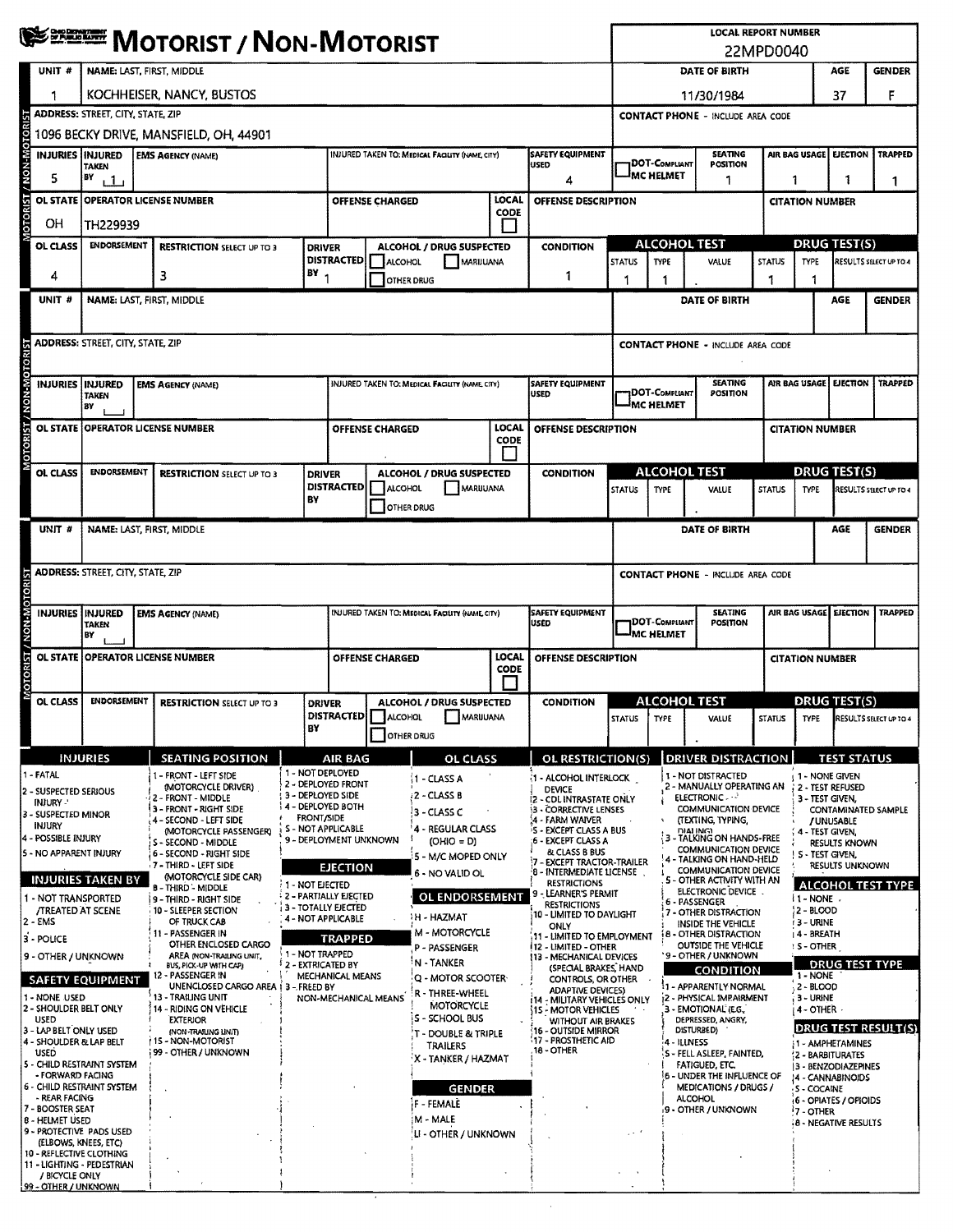|                                                                                      | <b>WE DISCOUNT / NON-MOTORIST</b>                                                                                                                                                             |                                                                                                 |                                         |                                                                                                                 |                        |                                                                                                                      |                                                                                         |                                           | <b>LOCAL REPORT NUMBER</b><br>22MPD0040                                       |                                                                                                                                          |                                                                       |                                                                                |                                                   |                                               |                                                             |                      |                        |
|--------------------------------------------------------------------------------------|-----------------------------------------------------------------------------------------------------------------------------------------------------------------------------------------------|-------------------------------------------------------------------------------------------------|-----------------------------------------|-----------------------------------------------------------------------------------------------------------------|------------------------|----------------------------------------------------------------------------------------------------------------------|-----------------------------------------------------------------------------------------|-------------------------------------------|-------------------------------------------------------------------------------|------------------------------------------------------------------------------------------------------------------------------------------|-----------------------------------------------------------------------|--------------------------------------------------------------------------------|---------------------------------------------------|-----------------------------------------------|-------------------------------------------------------------|----------------------|------------------------|
| UNIT#                                                                                | <b>NAME: LAST, FIRST, MIDDLE</b>                                                                                                                                                              |                                                                                                 |                                         |                                                                                                                 |                        |                                                                                                                      |                                                                                         |                                           |                                                                               | DATE OF BIRTH<br>AGE<br><b>GENDER</b>                                                                                                    |                                                                       |                                                                                |                                                   |                                               |                                                             |                      |                        |
|                                                                                      | KOCHHEISER, NANCY, BUSTOS                                                                                                                                                                     |                                                                                                 |                                         |                                                                                                                 |                        |                                                                                                                      |                                                                                         |                                           | 11/30/1984                                                                    |                                                                                                                                          |                                                                       |                                                                                |                                                   |                                               | 37                                                          | F                    |                        |
| <b>ADDRESS: STREET, CITY, STATE, ZIP</b><br><b>CONTACT PHONE - INCLUDE AREA CODE</b> |                                                                                                                                                                                               |                                                                                                 |                                         |                                                                                                                 |                        |                                                                                                                      |                                                                                         |                                           |                                                                               |                                                                                                                                          |                                                                       |                                                                                |                                                   |                                               |                                                             |                      |                        |
|                                                                                      | 1096 BECKY DRIVE, MANSFIELD, OH, 44901<br>INJURIES INJURED<br>INJURED TAKEN TO: MEDICAL FACULTY (NAME, CITY)<br><b>SAFETY EQUIPMENT</b><br><b>SEATING</b><br>AIR BAG USAGE<br><b>EJECTION</b> |                                                                                                 |                                         |                                                                                                                 |                        |                                                                                                                      |                                                                                         |                                           |                                                                               |                                                                                                                                          | <b>TRAPPED</b>                                                        |                                                                                |                                                   |                                               |                                                             |                      |                        |
| 5                                                                                    | <b>EMS AGENCY (NAME)</b><br><b>TAKEN</b><br>B٧                                                                                                                                                |                                                                                                 |                                         |                                                                                                                 |                        |                                                                                                                      |                                                                                         | <b>USED</b><br>4                          |                                                                               |                                                                                                                                          | <sup>I</sup> MC HELMET                                                | DOT-Compliant<br><b>POSITION</b><br>1                                          |                                                   | 1                                             |                                                             | 1                    | 1                      |
|                                                                                      | i 1 i<br><b>LOCAL</b><br>OL STATE   OPERATOR LICENSE NUMBER<br><b>OFFENSE CHARGED</b>                                                                                                         |                                                                                                 |                                         |                                                                                                                 |                        |                                                                                                                      |                                                                                         | OFFENSE DESCRIPTION                       |                                                                               | <b>CITATION NUMBER</b>                                                                                                                   |                                                                       |                                                                                |                                                   |                                               |                                                             |                      |                        |
| MOTORIST / NON-MOTOR<br>OН                                                           | <b>CODE</b><br>TH229939                                                                                                                                                                       |                                                                                                 |                                         |                                                                                                                 |                        |                                                                                                                      |                                                                                         |                                           |                                                                               |                                                                                                                                          |                                                                       |                                                                                |                                                   |                                               |                                                             |                      |                        |
| OL CLASS                                                                             | <b>ENDORSEMENT</b><br><b>RESTRICTION SELECT UP TO 3</b>                                                                                                                                       |                                                                                                 |                                         | <b>DRIVER</b><br><b>DISTRACTED</b>                                                                              |                        | <b>ALCOHOL / DRUG SUSPECTED</b>                                                                                      |                                                                                         | <b>CONDITION</b>                          |                                                                               |                                                                                                                                          |                                                                       | <b>ALCOHOL TEST</b>                                                            |                                                   |                                               |                                                             | <b>DRUG TEST(S)</b>  |                        |
| 4                                                                                    | 3                                                                                                                                                                                             |                                                                                                 |                                         | $BY_1$                                                                                                          | ALCOHOL<br>OTHER DRUG  | MARIJUANA                                                                                                            |                                                                                         | 1                                         |                                                                               | <b>STATUS</b><br>1                                                                                                                       | <b>TYPE</b>                                                           | VALUE                                                                          |                                                   | <b>STATUS</b><br>1                            | <b>TYPE</b>                                                 |                      | RESULTS SELECT UP TO 4 |
| UNIT #                                                                               | NAME: LAST, FIRST, MIDDLE                                                                                                                                                                     |                                                                                                 |                                         |                                                                                                                 |                        |                                                                                                                      |                                                                                         |                                           |                                                                               |                                                                                                                                          |                                                                       | DATE OF BIRTH                                                                  |                                                   |                                               |                                                             | AGE                  | <b>GENDER</b>          |
|                                                                                      |                                                                                                                                                                                               |                                                                                                 |                                         |                                                                                                                 |                        |                                                                                                                      |                                                                                         |                                           |                                                                               |                                                                                                                                          |                                                                       |                                                                                |                                                   |                                               |                                                             |                      |                        |
|                                                                                      | <b>ADDRESS: STREET, CITY, STATE, ZIP</b>                                                                                                                                                      |                                                                                                 |                                         |                                                                                                                 |                        |                                                                                                                      |                                                                                         |                                           |                                                                               |                                                                                                                                          |                                                                       | <b>CONTACT PHONE - INCLUDE AREA CODE</b>                                       |                                                   |                                               |                                                             |                      |                        |
|                                                                                      | INJURIES   INJURED                                                                                                                                                                            | <b>EMS AGENCY (NAME)</b>                                                                        |                                         |                                                                                                                 |                        | INJURED TAKEN TO: MEDICAL FAGUITY (NAME, CITY)                                                                       |                                                                                         | <b>SAFETY EQUIPMENT</b>                   |                                                                               | <b>SEATING</b><br>AIR BAG USAGE<br><b>EJECTION</b><br><b>TRAPPED</b>                                                                     |                                                                       |                                                                                |                                                   |                                               |                                                             |                      |                        |
|                                                                                      | <b>TAKEN</b><br>BY                                                                                                                                                                            |                                                                                                 |                                         |                                                                                                                 |                        |                                                                                                                      |                                                                                         | <b>USED</b>                               |                                                                               |                                                                                                                                          | IMC HELMET                                                            | <b>1DOT-COMPLIANT</b><br>POSITION                                              |                                                   |                                               |                                                             |                      |                        |
| MOTORIST / NON-MOTORI<br><b>OL STATE</b>                                             |                                                                                                                                                                                               | <b>OPERATOR LICENSE NUMBER</b>                                                                  |                                         |                                                                                                                 | <b>OFFENSE CHARGED</b> |                                                                                                                      | LOCAL<br><b>CODE</b>                                                                    | <b>OFFENSE DESCRIPTION</b>                |                                                                               |                                                                                                                                          |                                                                       |                                                                                |                                                   |                                               | <b>CITATION NUMBER</b>                                      |                      |                        |
|                                                                                      |                                                                                                                                                                                               |                                                                                                 |                                         |                                                                                                                 |                        |                                                                                                                      |                                                                                         |                                           |                                                                               |                                                                                                                                          |                                                                       |                                                                                |                                                   |                                               |                                                             |                      |                        |
| OL CLASS                                                                             | <b>ENDORSEMENT</b>                                                                                                                                                                            | <b>RESTRICTION SELECT UP TO 3</b>                                                               | <b>DRIVER</b>                           | DISTRACTED   ALCOHOL                                                                                            |                        | ALCOHOL / DRUG SUSPECTED<br>MARUUANA                                                                                 |                                                                                         | <b>CONDITION</b>                          |                                                                               | <b>ALCOHOL TEST</b><br><b>STATUS</b><br><b>TYPE</b>                                                                                      |                                                                       | VALUE                                                                          |                                                   | <b>STATUS</b>                                 | <b>TYPE</b>                                                 | <b>DRUG TEST(S)</b>  | RESULTS SELECT UP TO 4 |
|                                                                                      |                                                                                                                                                                                               |                                                                                                 | BY                                      |                                                                                                                 | OTHER DRUG             |                                                                                                                      |                                                                                         |                                           |                                                                               |                                                                                                                                          |                                                                       |                                                                                |                                                   |                                               |                                                             |                      |                        |
| UNIT #                                                                               | NAME: LAST, FIRST, MIDDLE                                                                                                                                                                     |                                                                                                 |                                         |                                                                                                                 |                        |                                                                                                                      |                                                                                         |                                           |                                                                               |                                                                                                                                          |                                                                       | DATE OF BIRTH                                                                  |                                                   |                                               |                                                             | AGE                  | <b>GENDER</b>          |
|                                                                                      |                                                                                                                                                                                               |                                                                                                 |                                         |                                                                                                                 |                        |                                                                                                                      |                                                                                         |                                           |                                                                               |                                                                                                                                          |                                                                       |                                                                                |                                                   |                                               |                                                             |                      |                        |
|                                                                                      | <b>ADDRESS: STREET, CITY, STATE, ZIP</b>                                                                                                                                                      |                                                                                                 |                                         |                                                                                                                 |                        |                                                                                                                      |                                                                                         |                                           |                                                                               |                                                                                                                                          |                                                                       | <b>CONTACT PHONE - INCLUDE AREA CODE</b>                                       |                                                   |                                               |                                                             |                      |                        |
| NON-MOTORIST                                                                         | INJURIES INJURED                                                                                                                                                                              | <b>EMS AGENCY (NAME)</b>                                                                        |                                         |                                                                                                                 |                        | INJURED TAKEN TO: MEDICAL FACILITY (NAME CITY)                                                                       |                                                                                         | SAFETY EQUIPMENT<br>USED                  |                                                                               |                                                                                                                                          | <b>DOT-COMPLIANT</b>                                                  | <b>SEATING</b><br><b>POSITION</b>                                              |                                                   |                                               | AIR BAG USAGE                                               | <b>EJECTION</b>      | <b>TRAPPED</b>         |
|                                                                                      | <b>TAKEN</b><br>B٢                                                                                                                                                                            |                                                                                                 |                                         |                                                                                                                 |                        |                                                                                                                      |                                                                                         |                                           |                                                                               | <sup>J</sup> MC HELMET                                                                                                                   |                                                                       |                                                                                |                                                   |                                               |                                                             |                      |                        |
| MOTORIST /                                                                           |                                                                                                                                                                                               | OL STATE OPERATOR LICENSE NUMBER                                                                |                                         | <b>LOCAL</b><br><b>OFFENSE CHARGED</b><br>CODE                                                                  |                        |                                                                                                                      |                                                                                         | OFFENSE DESCRIPTION                       |                                                                               | <b>CITATION NUMBER</b>                                                                                                                   |                                                                       |                                                                                |                                                   |                                               |                                                             |                      |                        |
| OL CLASS                                                                             | <b>ENDORSEMENT</b>                                                                                                                                                                            | <b>RESTRICTION SELECT UP TO 3</b>                                                               | <b>DRIVER</b>                           |                                                                                                                 |                        | ALCOHOL / DRUG SUSPECTED                                                                                             |                                                                                         |                                           | <b>CONDITION</b>                                                              |                                                                                                                                          |                                                                       | <b>ALCOHOL TEST</b>                                                            |                                                   |                                               | <b>DRUG TEST(S)</b>                                         |                      |                        |
|                                                                                      |                                                                                                                                                                                               |                                                                                                 |                                         | DISTRACTED   ALCOHOL<br>B٧                                                                                      |                        | MARUUANA                                                                                                             |                                                                                         |                                           |                                                                               | Istatus I type<br>VALUE                                                                                                                  |                                                                       |                                                                                |                                                   |                                               | STATUS TYPE RESULTS SELECT UP TO 4                          |                      |                        |
|                                                                                      |                                                                                                                                                                                               |                                                                                                 |                                         |                                                                                                                 | <b>OTHER DRUG</b>      |                                                                                                                      |                                                                                         |                                           |                                                                               |                                                                                                                                          |                                                                       |                                                                                |                                                   |                                               |                                                             |                      |                        |
| 1 - FATAL                                                                            | <b>INJURIES</b>                                                                                                                                                                               | <b>SEATING POSITION</b><br>1 - FRONT - LEFT SIDE                                                | 1 - NOT DEPLOYED                        | <b>AIR BAG</b>                                                                                                  |                        | OL CLASS<br><b>11 - CLASS A</b>                                                                                      |                                                                                         | 1 - ALCOHOL INTERLOCK                     |                                                                               | <b>OL RESTRICTION(S)</b><br><b>DRIVER DISTRACTION</b><br><b>TEST STATUS</b><br>1 - NOT DISTRACTED<br>1 - NONE GIVEN                      |                                                                       |                                                                                |                                                   |                                               |                                                             |                      |                        |
| INJURY -                                                                             | (MOTORCYCLE DRIVER)<br>2 - SUSPECTED SERIOUS<br>2 - FRONT - MIDDLE                                                                                                                            |                                                                                                 |                                         | 2 - DEPLOYED FRONT<br>3 - DEPLOYED SIDE<br>22 - CLASS B<br>4 - DEPLOYED BOTH                                    |                        |                                                                                                                      |                                                                                         | <b>DEVICE</b>                             | 2 - CDL INTRASTATE ONLY<br><b>13 - CORRECTIVE LENSES</b>                      |                                                                                                                                          |                                                                       | 2 - MANUALLY OPERATING AN<br><b>ELECTRONIC </b><br><b>COMMUNICATION DEVICE</b> |                                                   |                                               | 2 - TEST REFUSED<br>3 - TEST GIVEN,                         |                      |                        |
| 3 - SUSPECTED MINOR<br>INJURY                                                        |                                                                                                                                                                                               | i 3 - FRONT - RIGHT SIDE<br>4 - SECOND - LEFT SIDE<br>(MOTORCYCLE PASSENGER)                    | <b>FRONT/SIDE</b><br>S - NOT APPLICABLE |                                                                                                                 |                        | 3 - CLASS C<br>4 - REGULAR CLASS                                                                                     |                                                                                         |                                           | 4 - FARM WAIVER<br>S - EXCEPT CLASS A BUS                                     |                                                                                                                                          |                                                                       | (TEXTING, TYPING,<br><b>DIALING</b>                                            |                                                   |                                               | <b>CONTAMINATED SAMPLE</b><br>/ UNUSABLE<br>4 - TEST GIVEN, |                      |                        |
|                                                                                      | 4 - POSSIBLE INJURY<br>S - SECOND - MIDDLE<br>5 - NO APPARENT INJURY<br>6 - Second - Right Side                                                                                               |                                                                                                 |                                         | 9 - DEPLOYMENT UNKNOWN<br>$(OHIO = D)$<br>;6 - EXCEPT CLASS A<br><b>&amp; CLASS B BUS</b><br>5 - M/C MOPED ONLY |                        |                                                                                                                      |                                                                                         |                                           |                                                                               | 3 - TALKING ON HANDS-FREE<br><b>RESULTS KNOWN</b><br><b>COMMUNICATION DEVICE</b><br><b>S-TEST GIVEN.</b><br>- TALKING ON HAND-HELD<br>۱đ |                                                                       |                                                                                |                                                   |                                               |                                                             |                      |                        |
|                                                                                      | 7 - THIRD - LEFT SIDE<br><b>EJECTION</b><br>(MOTORCYCLE SIDE CAR)<br><b>INJURIES TAKEN BY</b><br>1 - NOT EJECTED                                                                              |                                                                                                 |                                         |                                                                                                                 |                        | - EXCEPT TRACTOR-TRAILER<br>8 - INTERMEDIATE LICENSE<br>6 - NO VALID OL<br><b>RESTRICTIONS</b>                       |                                                                                         |                                           |                                                                               | COMMUNICATION DEVICE<br>5 - OTHER ACTIVITY WITH AN                                                                                       |                                                                       |                                                                                |                                                   |                                               | RESULTS UNKNOWN<br><b>ALCOHOL TEST TYPE</b>                 |                      |                        |
|                                                                                      | <b>B-THIRD-MIDDLE</b><br>1 - NOT TRANSPORTED<br>i 9 - THIRD - RIGHT SIDE<br><b>/TREATED AT SCENE</b><br>10 - SLEEPER SECTION                                                                  |                                                                                                 |                                         | 2 - PARTIALLY EJECTED<br>OL ENDORSEMENT<br>3 - TOTALLY EJECTED                                                  |                        |                                                                                                                      |                                                                                         |                                           | <b>9 - LEARNER'S PERMIT</b><br><b>RESTRICTIONS</b><br>10 - UMITED TO DAYLIGHT |                                                                                                                                          |                                                                       | ELECTRONIC DEVICE.<br>6 - PASSENGER<br>7 - OTHER DISTRACTION                   |                                                   |                                               | 1 - NONE<br><b>2-BLOOD</b>                                  |                      |                        |
| $2 - EMS$                                                                            |                                                                                                                                                                                               | <b>FH - HAZMAT</b><br>4 - NOT APPLICABLE<br>OF TRUCK CAB<br>M - MOTORCYCLE<br>11 - PASSENGER IN |                                         |                                                                                                                 |                        |                                                                                                                      | ONLY                                                                                    |                                           |                                                                               | INSIDE THE VEHICLE<br><b>18 - OTHER DISTRACTION</b>                                                                                      |                                                                       |                                                                                |                                                   | i 3 - URINE<br>$+4 - BREATH$                  |                                                             |                      |                        |
| 3 - POLICE                                                                           | <b>TRAPPED</b><br>OTHER ENCLOSED CARGO<br>1 - NOT TRAPPED<br>AREA (NON-TRAILING UNIT,<br>9 - OTHER / UNKNOWN                                                                                  |                                                                                                 |                                         |                                                                                                                 |                        | 11 - LIMITED TO EMPLOYMENT<br><b>112 - LIMITED - OTHER</b><br>P - PASSENGER<br>13 - MECHANICAL DEVICES               |                                                                                         |                                           |                                                                               |                                                                                                                                          |                                                                       | OUTSIDE THE VEHICLE<br>'9 - OTHER / UNKNOWN                                    |                                                   |                                               | <b>IS-OTHER</b>                                             |                      |                        |
|                                                                                      | 2 - EXTRICATED BY<br>BUS, PICK-UP WITH CAP)<br>12 - PASSENGER IN<br>MECHANICAL MEANS<br><b>SAFETY EQUIPMENT</b><br>UNENCLOSED CARGO AREA   3 - FREED BY                                       |                                                                                                 |                                         |                                                                                                                 |                        | N - TANKER<br>(SPECIAL BRAKES, HAND<br>Q - MOTOR SCOOTER-<br>CONTROLS, OR OTHER                                      |                                                                                         |                                           |                                                                               | <b>CONDITION</b><br>1 - APPARENTLY NORMAL                                                                                                |                                                                       |                                                                                |                                                   | <b>DRUG TEST TYPE</b><br>1 - NONE             |                                                             |                      |                        |
|                                                                                      | 1 - NONE USED<br><b>13 - TRAILING UNIT</b><br>2 - SHOULDER BELT ONLY<br>14 - RIDING ON VEHICLE                                                                                                |                                                                                                 | NON-MECHANICAL MEANS                    |                                                                                                                 |                        | R - THREE-WHEEL<br><b>MOTORCYCLE</b>                                                                                 | <b>ADAPTIVE DEVICES)</b><br>114 - MILITARY VEHICLES ONLY<br><b>{15 - MOTOR VEHICLES</b> |                                           | 2 - PHYSICAL IMPAIRMENT<br>3 - EMOTIONAL (E.G.,                               |                                                                                                                                          |                                                                       |                                                                                |                                                   | 2 - BLOOD<br>3 - URINE<br>$4 -$ OTHER $\cdot$ |                                                             |                      |                        |
| <b>USED</b>                                                                          | <b>EXTERIOR</b><br>3 - LAP BELT ONLY USED<br>(NON-TRAILING LINIT)                                                                                                                             |                                                                                                 |                                         |                                                                                                                 |                        | S - SCHOOL BUS<br><b>T - DOUBLE &amp; TRIPLE</b>                                                                     |                                                                                         | WITHOUT AIR BRAKES<br>16 - OUTSIDE MIRROR |                                                                               |                                                                                                                                          |                                                                       | DEPRESSED, ANGRY,<br>DISTURBED)                                                |                                                   |                                               | DRUG TEST RESULT(S)                                         |                      |                        |
| <b>USED</b>                                                                          | † 15 - NON-MOTORIST<br>4 - SHOULDER & LAP BELT<br>TRAILERS<br>199 - OTHER / UNKNOWN<br>X - TANKER / HAZMAT                                                                                    |                                                                                                 |                                         |                                                                                                                 | .18 - OTHER            | 17 - PROSTHETIC AID<br>4 - ILLNESS<br><b>1- AMPHETAMINES</b><br>S - FELL ASLEEP, FAINTED,<br><b>2 - BARBITURATES</b> |                                                                                         |                                           |                                                                               |                                                                                                                                          |                                                                       |                                                                                |                                                   |                                               |                                                             |                      |                        |
|                                                                                      | 5 - CHILD RESTRAINT SYSTEM<br>- FORWARD FACING<br><b>6 - CHILD RESTRAINT SYSTEM</b>                                                                                                           |                                                                                                 |                                         |                                                                                                                 |                        |                                                                                                                      |                                                                                         |                                           |                                                                               | <b>FATIGUED, ETC.</b><br><b>6 - UNDER THE INFLUENCE OF</b>                                                                               |                                                                       |                                                                                | 3 - BENZODIAZEPINES<br><b>4 - CANNABINOIDS</b>    |                                               |                                                             |                      |                        |
| - REAR FACING<br>7 - BOOSTER SEAT                                                    |                                                                                                                                                                                               |                                                                                                 |                                         |                                                                                                                 |                        | <b>GENDER</b><br>F - FEMALE                                                                                          |                                                                                         |                                           |                                                                               |                                                                                                                                          | <b>MEDICATIONS / DRUGS /</b><br><b>ALCOHOL</b><br>9 - OTHER / UNKNOWN |                                                                                | S - COCAINE<br>6 - OPIATES / OPIOIDS<br>7 - OTHER |                                               |                                                             |                      |                        |
| 8 - HELMET USED<br>9 - PROTECTIVE PADS USED                                          |                                                                                                                                                                                               |                                                                                                 |                                         |                                                                                                                 |                        | M - MALE<br>U - OTHER / UNKNOWN                                                                                      |                                                                                         |                                           |                                                                               |                                                                                                                                          |                                                                       |                                                                                |                                                   |                                               |                                                             | 8 - NEGATIVE RESULTS |                        |
| 10 - REFLECTIVE CLOTHING                                                             | (ELBOWS, KNEES, ETC)                                                                                                                                                                          |                                                                                                 |                                         |                                                                                                                 |                        |                                                                                                                      |                                                                                         |                                           |                                                                               |                                                                                                                                          |                                                                       |                                                                                |                                                   |                                               |                                                             |                      |                        |
| 11 - LIGHTING - PEDESTRIAN<br>/ BICYCLE ONLY                                         |                                                                                                                                                                                               |                                                                                                 |                                         |                                                                                                                 |                        |                                                                                                                      |                                                                                         |                                           |                                                                               |                                                                                                                                          |                                                                       |                                                                                |                                                   |                                               |                                                             |                      |                        |
| 99 - OTHER / UNKNOWN                                                                 |                                                                                                                                                                                               |                                                                                                 |                                         |                                                                                                                 |                        |                                                                                                                      |                                                                                         |                                           |                                                                               |                                                                                                                                          |                                                                       |                                                                                |                                                   |                                               |                                                             |                      |                        |